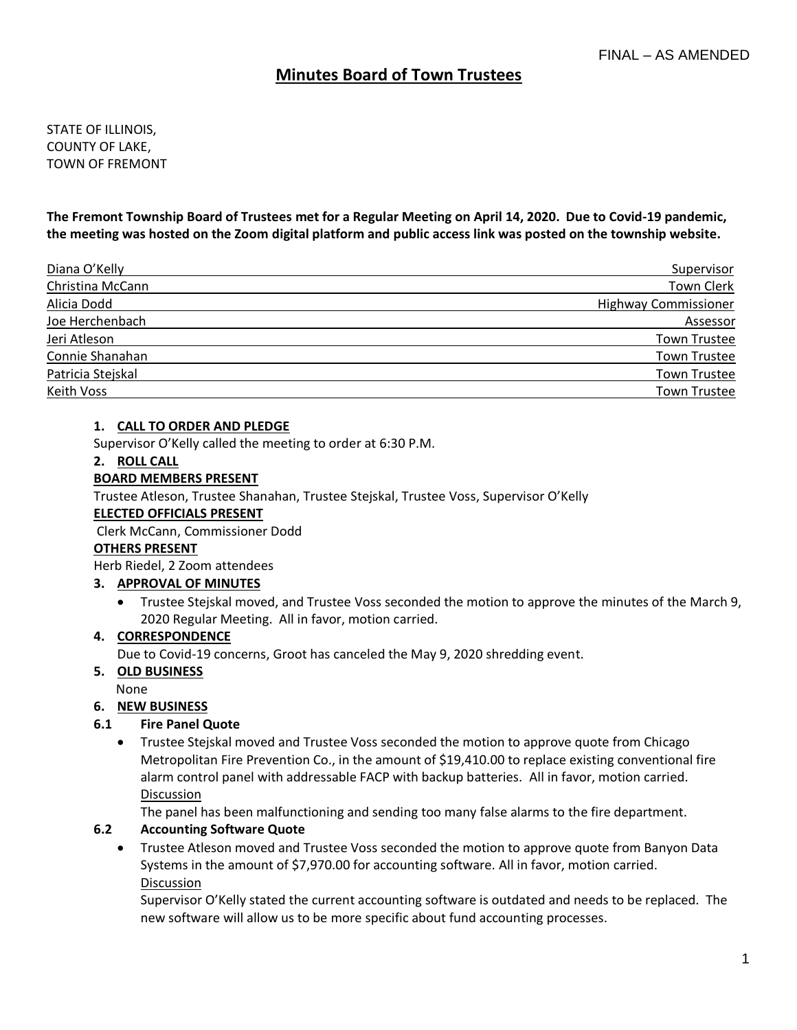# **Minutes Board of Town Trustees**

STATE OF ILLINOIS, COUNTY OF LAKE, TOWN OF FREMONT

**The Fremont Township Board of Trustees met for a Regular Meeting on April 14, 2020. Due to Covid-19 pandemic, the meeting was hosted on the Zoom digital platform and public access link was posted on the township website.**

| Diana O'Kelly     | Supervisor                  |
|-------------------|-----------------------------|
| Christina McCann  | Town Clerk                  |
| Alicia Dodd       | <b>Highway Commissioner</b> |
| Joe Herchenbach   | Assessor                    |
| Jeri Atleson      | <b>Town Trustee</b>         |
| Connie Shanahan   | Town Trustee                |
| Patricia Stejskal | <b>Town Trustee</b>         |
| Keith Voss        | Town Trustee                |

### **1. CALL TO ORDER AND PLEDGE**

Supervisor O'Kelly called the meeting to order at 6:30 P.M.

### **2. ROLL CALL**

## **BOARD MEMBERS PRESENT**

Trustee Atleson, Trustee Shanahan, Trustee Stejskal, Trustee Voss, Supervisor O'Kelly

## **ELECTED OFFICIALS PRESENT**

Clerk McCann, Commissioner Dodd

### **OTHERS PRESENT**

Herb Riedel, 2 Zoom attendees

## **3. APPROVAL OF MINUTES**

• Trustee Stejskal moved, and Trustee Voss seconded the motion to approve the minutes of the March 9, 2020 Regular Meeting. All in favor, motion carried.

### **4. CORRESPONDENCE**

Due to Covid-19 concerns, Groot has canceled the May 9, 2020 shredding event.

### **5. OLD BUSINESS**

None

## **6. NEW BUSINESS**

### **6.1 Fire Panel Quote**

• Trustee Stejskal moved and Trustee Voss seconded the motion to approve quote from Chicago Metropolitan Fire Prevention Co., in the amount of \$19,410.00 to replace existing conventional fire alarm control panel with addressable FACP with backup batteries. All in favor, motion carried. Discussion

The panel has been malfunctioning and sending too many false alarms to the fire department.

## **6.2 Accounting Software Quote**

• Trustee Atleson moved and Trustee Voss seconded the motion to approve quote from Banyon Data Systems in the amount of \$7,970.00 for accounting software. All in favor, motion carried. Discussion

Supervisor O'Kelly stated the current accounting software is outdated and needs to be replaced. The new software will allow us to be more specific about fund accounting processes.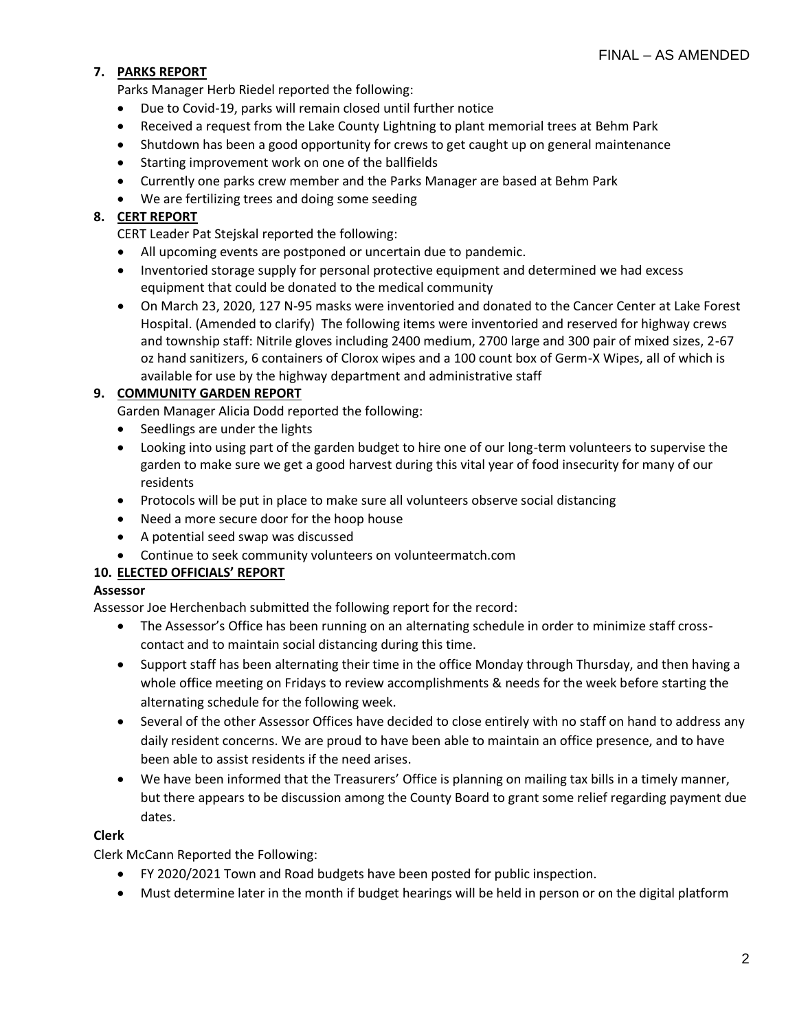# **7. PARKS REPORT**

Parks Manager Herb Riedel reported the following:

- Due to Covid-19, parks will remain closed until further notice
- Received a request from the Lake County Lightning to plant memorial trees at Behm Park
- Shutdown has been a good opportunity for crews to get caught up on general maintenance
- Starting improvement work on one of the ballfields
- Currently one parks crew member and the Parks Manager are based at Behm Park
- We are fertilizing trees and doing some seeding

# **8. CERT REPORT**

CERT Leader Pat Stejskal reported the following:

- All upcoming events are postponed or uncertain due to pandemic.
- Inventoried storage supply for personal protective equipment and determined we had excess equipment that could be donated to the medical community
- On March 23, 2020, 127 N-95 masks were inventoried and donated to the Cancer Center at Lake Forest Hospital. (Amended to clarify) The following items were inventoried and reserved for highway crews and township staff: Nitrile gloves including 2400 medium, 2700 large and 300 pair of mixed sizes, 2-67 oz hand sanitizers, 6 containers of Clorox wipes and a 100 count box of Germ-X Wipes, all of which is available for use by the highway department and administrative staff

# **9. COMMUNITY GARDEN REPORT**

Garden Manager Alicia Dodd reported the following:

- Seedlings are under the lights
- Looking into using part of the garden budget to hire one of our long-term volunteers to supervise the garden to make sure we get a good harvest during this vital year of food insecurity for many of our residents
- Protocols will be put in place to make sure all volunteers observe social distancing
- Need a more secure door for the hoop house
- A potential seed swap was discussed
- Continue to seek community volunteers on volunteermatch.com

# **10. ELECTED OFFICIALS' REPORT**

## **Assessor**

Assessor Joe Herchenbach submitted the following report for the record:

- The Assessor's Office has been running on an alternating schedule in order to minimize staff crosscontact and to maintain social distancing during this time.
- Support staff has been alternating their time in the office Monday through Thursday, and then having a whole office meeting on Fridays to review accomplishments & needs for the week before starting the alternating schedule for the following week.
- Several of the other Assessor Offices have decided to close entirely with no staff on hand to address any daily resident concerns. We are proud to have been able to maintain an office presence, and to have been able to assist residents if the need arises.
- We have been informed that the Treasurers' Office is planning on mailing tax bills in a timely manner, but there appears to be discussion among the County Board to grant some relief regarding payment due dates.

# **Clerk**

Clerk McCann Reported the Following:

- FY 2020/2021 Town and Road budgets have been posted for public inspection.
- Must determine later in the month if budget hearings will be held in person or on the digital platform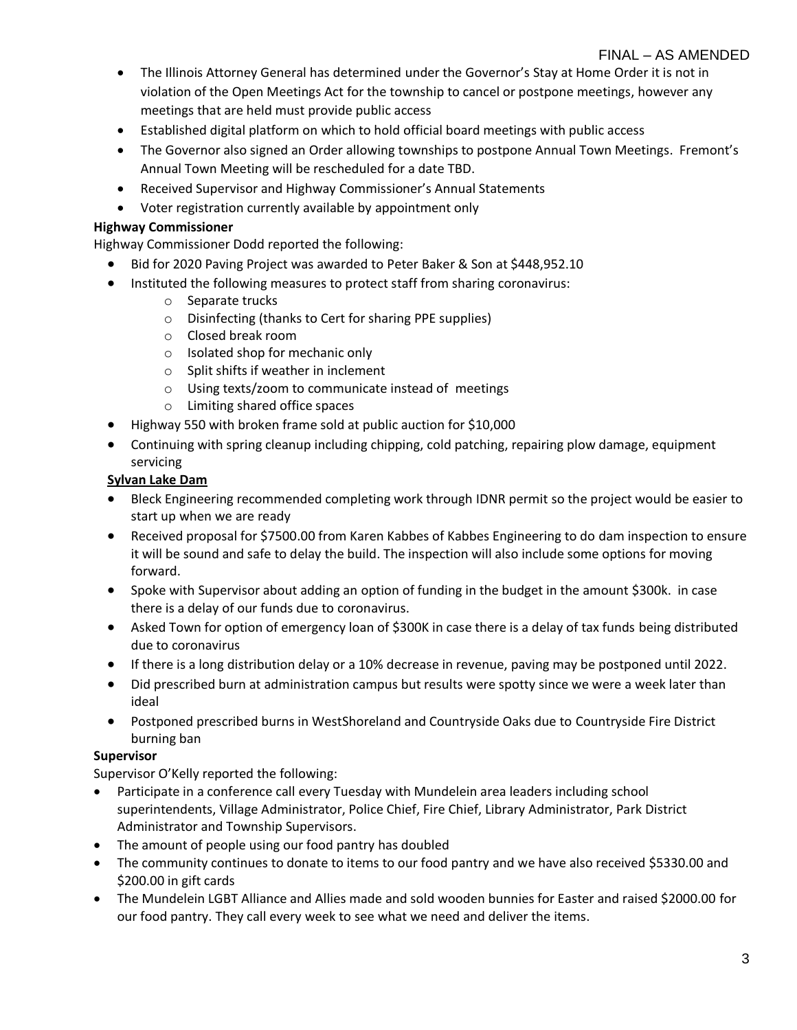- The Illinois Attorney General has determined under the Governor's Stay at Home Order it is not in violation of the Open Meetings Act for the township to cancel or postpone meetings, however any meetings that are held must provide public access
- Established digital platform on which to hold official board meetings with public access
- The Governor also signed an Order allowing townships to postpone Annual Town Meetings. Fremont's Annual Town Meeting will be rescheduled for a date TBD.
- Received Supervisor and Highway Commissioner's Annual Statements
- Voter registration currently available by appointment only

## **Highway Commissioner**

Highway Commissioner Dodd reported the following:

- Bid for 2020 Paving Project was awarded to Peter Baker & Son at \$448,952.10
- Instituted the following measures to protect staff from sharing coronavirus:
	- o Separate trucks
	- o Disinfecting (thanks to Cert for sharing PPE supplies)
	- o Closed break room
	- o Isolated shop for mechanic only
	- o Split shifts if weather in inclement
	- o Using texts/zoom to communicate instead of meetings
	- o Limiting shared office spaces
- Highway 550 with broken frame sold at public auction for \$10,000
- Continuing with spring cleanup including chipping, cold patching, repairing plow damage, equipment servicing

## **Sylvan Lake Dam**

- Bleck Engineering recommended completing work through IDNR permit so the project would be easier to start up when we are ready
- Received proposal for \$7500.00 from Karen Kabbes of Kabbes Engineering to do dam inspection to ensure it will be sound and safe to delay the build. The inspection will also include some options for moving forward.
- Spoke with Supervisor about adding an option of funding in the budget in the amount \$300k. in case there is a delay of our funds due to coronavirus.
- Asked Town for option of emergency loan of \$300K in case there is a delay of tax funds being distributed due to coronavirus
- If there is a long distribution delay or a 10% decrease in revenue, paving may be postponed until 2022.
- Did prescribed burn at administration campus but results were spotty since we were a week later than ideal
- Postponed prescribed burns in WestShoreland and Countryside Oaks due to Countryside Fire District burning ban

## **Supervisor**

Supervisor O'Kelly reported the following:

- Participate in a conference call every Tuesday with Mundelein area leaders including school superintendents, Village Administrator, Police Chief, Fire Chief, Library Administrator, Park District Administrator and Township Supervisors.
- The amount of people using our food pantry has doubled
- The community continues to donate to items to our food pantry and we have also received \$5330.00 and \$200.00 in gift cards
- The Mundelein LGBT Alliance and Allies made and sold wooden bunnies for Easter and raised \$2000.00 for our food pantry. They call every week to see what we need and deliver the items.